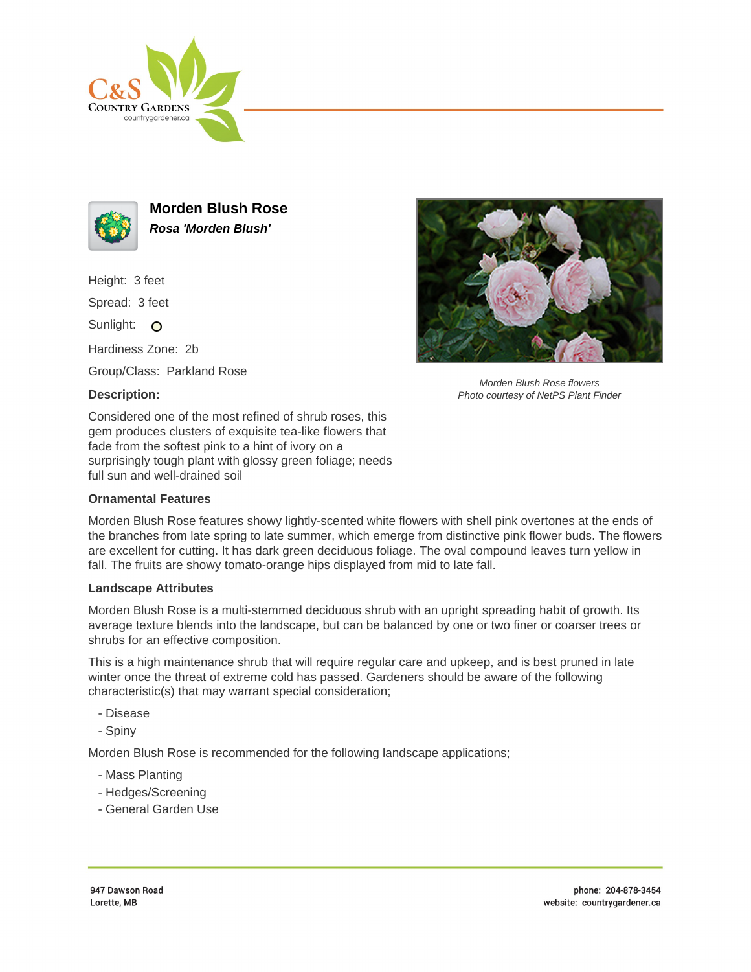



**Morden Blush Rose Rosa 'Morden Blush'**

Height: 3 feet

Spread: 3 feet

Sunlight: O

Hardiness Zone: 2b

Group/Class: Parkland Rose

## **Description:**



Morden Blush Rose flowers Photo courtesy of NetPS Plant Finder

Considered one of the most refined of shrub roses, this gem produces clusters of exquisite tea-like flowers that fade from the softest pink to a hint of ivory on a surprisingly tough plant with glossy green foliage; needs full sun and well-drained soil

## **Ornamental Features**

Morden Blush Rose features showy lightly-scented white flowers with shell pink overtones at the ends of the branches from late spring to late summer, which emerge from distinctive pink flower buds. The flowers are excellent for cutting. It has dark green deciduous foliage. The oval compound leaves turn yellow in fall. The fruits are showy tomato-orange hips displayed from mid to late fall.

## **Landscape Attributes**

Morden Blush Rose is a multi-stemmed deciduous shrub with an upright spreading habit of growth. Its average texture blends into the landscape, but can be balanced by one or two finer or coarser trees or shrubs for an effective composition.

This is a high maintenance shrub that will require regular care and upkeep, and is best pruned in late winter once the threat of extreme cold has passed. Gardeners should be aware of the following characteristic(s) that may warrant special consideration;

- Disease
- Spiny

Morden Blush Rose is recommended for the following landscape applications;

- Mass Planting
- Hedges/Screening
- General Garden Use